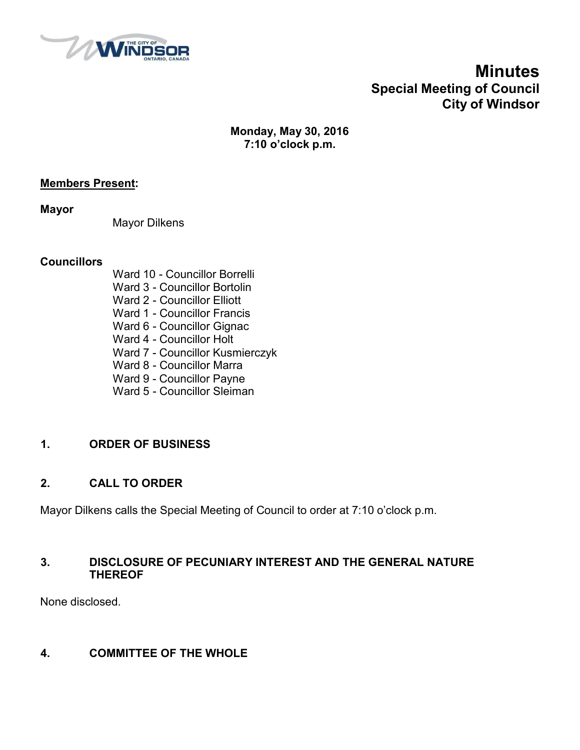

## **Minutes Special Meeting of Council City of Windsor**

**Monday, May 30, 2016 7:10 o'clock p.m.**

#### **Members Present:**

**Mayor**

Mayor Dilkens

#### **Councillors**

Ward 10 - Councillor Borrelli Ward 3 - Councillor Bortolin Ward 2 - Councillor Elliott Ward 1 - Councillor Francis Ward 6 - Councillor Gignac Ward 4 - Councillor Holt Ward 7 - Councillor Kusmierczyk Ward 8 - Councillor Marra Ward 9 - Councillor Payne

# Ward 5 - Councillor Sleiman

#### **1. ORDER OF BUSINESS**

#### **2. CALL TO ORDER**

Mayor Dilkens calls the Special Meeting of Council to order at 7:10 o'clock p.m.

#### **3. DISCLOSURE OF PECUNIARY INTEREST AND THE GENERAL NATURE THEREOF**

None disclosed.

#### **4. COMMITTEE OF THE WHOLE**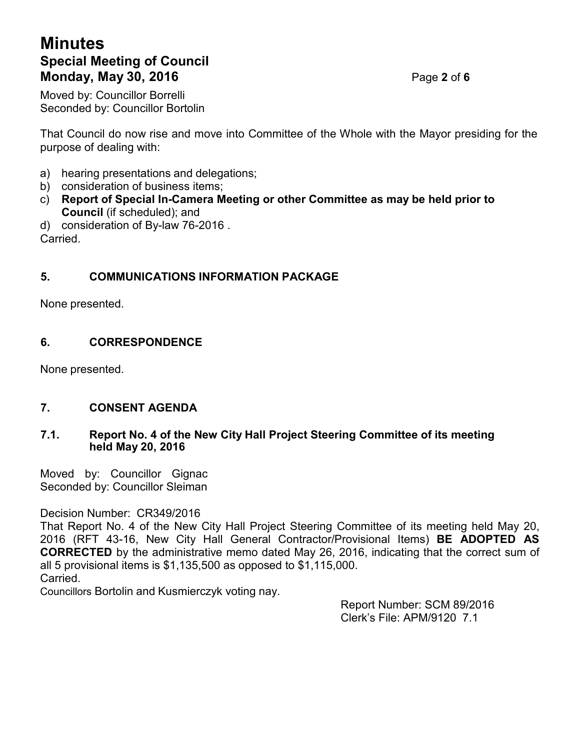# **Minutes Special Meeting of Council Monday, May 30, 2016** Page **2** of **6**

Moved by: Councillor Borrelli Seconded by: Councillor Bortolin

That Council do now rise and move into Committee of the Whole with the Mayor presiding for the purpose of dealing with:

- a) hearing presentations and delegations;
- b) consideration of business items;
- c) **Report of Special In-Camera Meeting or other Committee as may be held prior to Council** (if scheduled); and
- d) consideration of By-law 76-2016 . Carried.

### **5. COMMUNICATIONS INFORMATION PACKAGE**

None presented.

#### **6. CORRESPONDENCE**

None presented.

#### **7. CONSENT AGENDA**

#### **7.1. Report No. 4 of the New City Hall Project Steering Committee of its meeting held May 20, 2016**

Moved by: Councillor Gignac Seconded by: Councillor Sleiman

Decision Number: CR349/2016

That Report No. 4 of the New City Hall Project Steering Committee of its meeting held May 20, 2016 (RFT 43-16, New City Hall General Contractor/Provisional Items) **BE ADOPTED AS CORRECTED** by the administrative memo dated May 26, 2016, indicating that the correct sum of all 5 provisional items is \$1,135,500 as opposed to \$1,115,000. Carried.

Councillors Bortolin and Kusmierczyk voting nay.

Report Number: SCM 89/2016 Clerk's File: APM/9120 7.1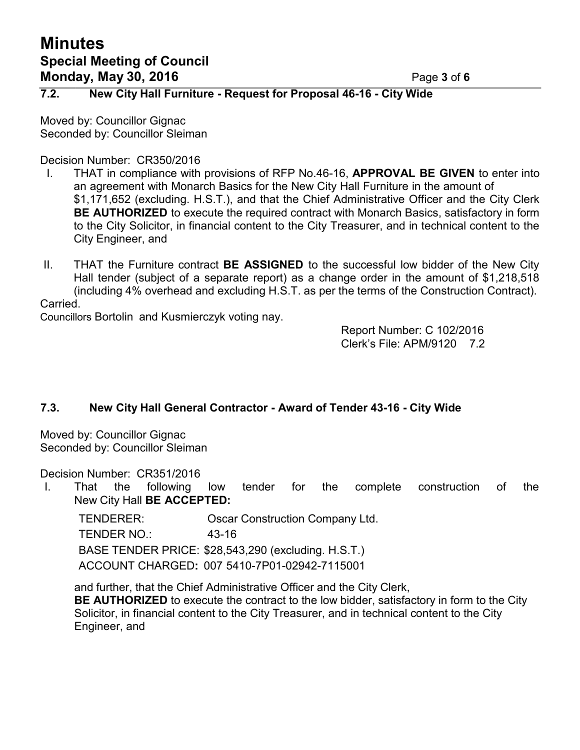#### **7.2. New City Hall Furniture - Request for Proposal 46-16 - City Wide**

Moved by: Councillor Gignac Seconded by: Councillor Sleiman

Decision Number: CR350/2016

- I. THAT in compliance with provisions of RFP No.46-16, **APPROVAL BE GIVEN** to enter into an agreement with Monarch Basics for the New City Hall Furniture in the amount of \$1,171,652 (excluding. H.S.T.), and that the Chief Administrative Officer and the City Clerk **BE AUTHORIZED** to execute the required contract with Monarch Basics, satisfactory in form to the City Solicitor, in financial content to the City Treasurer, and in technical content to the City Engineer, and
- II. THAT the Furniture contract **BE ASSIGNED** to the successful low bidder of the New City Hall tender (subject of a separate report) as a change order in the amount of \$1,218,518 (including 4% overhead and excluding H.S.T. as per the terms of the Construction Contract).

Carried.

Councillors Bortolin and Kusmierczyk voting nay.

Report Number: C 102/2016 Clerk's File: APM/9120 7.2

#### **7.3. New City Hall General Contractor - Award of Tender 43-16 - City Wide**

Moved by: Councillor Gignac Seconded by: Councillor Sleiman

Decision Number: CR351/2016

I. That the following low tender for the complete construction of the New City Hall **BE ACCEPTED:**

TENDERER: Oscar Construction Company Ltd. TENDER NO.: 43-16 BASE TENDER PRICE: \$28,543,290 (excluding. H.S.T.) ACCOUNT CHARGED**:** 007 5410-7P01-02942-7115001

and further, that the Chief Administrative Officer and the City Clerk, **BE AUTHORIZED** to execute the contract to the low bidder, satisfactory in form to the City Solicitor, in financial content to the City Treasurer, and in technical content to the City Engineer, and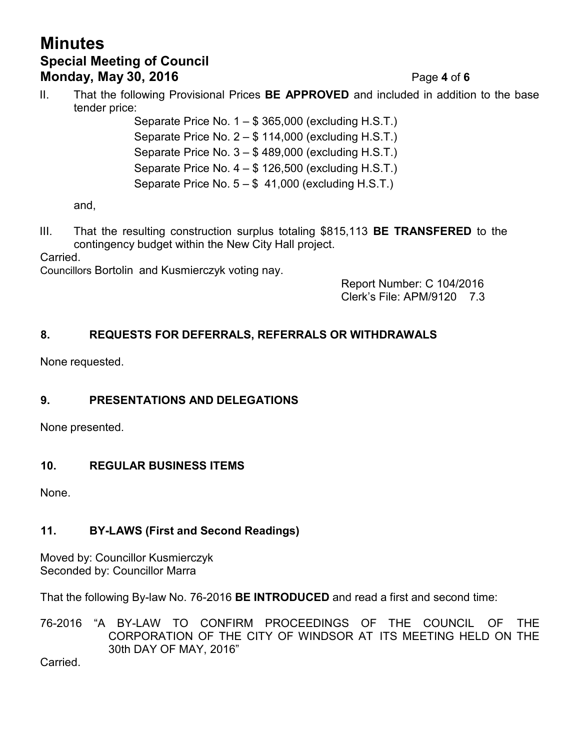# **Minutes Special Meeting of Council Monday, May 30, 2016** Page **4** of **6**

II. That the following Provisional Prices **BE APPROVED** and included in addition to the base tender price:

Separate Price No.  $1 - $365,000$  (excluding H.S.T.) Separate Price No. 2 – \$ 114,000 (excluding H.S.T.) Separate Price No. 3 – \$ 489,000 (excluding H.S.T.) Separate Price No. 4 – \$ 126,500 (excluding H.S.T.) Separate Price No. 5 – \$ 41,000 (excluding H.S.T.)

and,

III. That the resulting construction surplus totaling \$815,113 **BE TRANSFERED** to the contingency budget within the New City Hall project.

Carried.

Councillors Bortolin and Kusmierczyk voting nay.

Report Number: C 104/2016 Clerk's File: APM/9120 7.3

#### **8. REQUESTS FOR DEFERRALS, REFERRALS OR WITHDRAWALS**

None requested.

#### **9. PRESENTATIONS AND DELEGATIONS**

None presented.

#### **10. REGULAR BUSINESS ITEMS**

None.

#### **11. BY-LAWS (First and Second Readings)**

Moved by: Councillor Kusmierczyk Seconded by: Councillor Marra

That the following By-law No. 76-2016 **BE INTRODUCED** and read a first and second time:

76-2016 "A BY-LAW TO CONFIRM PROCEEDINGS OF THE COUNCIL OF THE CORPORATION OF THE CITY OF WINDSOR AT ITS MEETING HELD ON THE 30th DAY OF MAY, 2016"

Carried.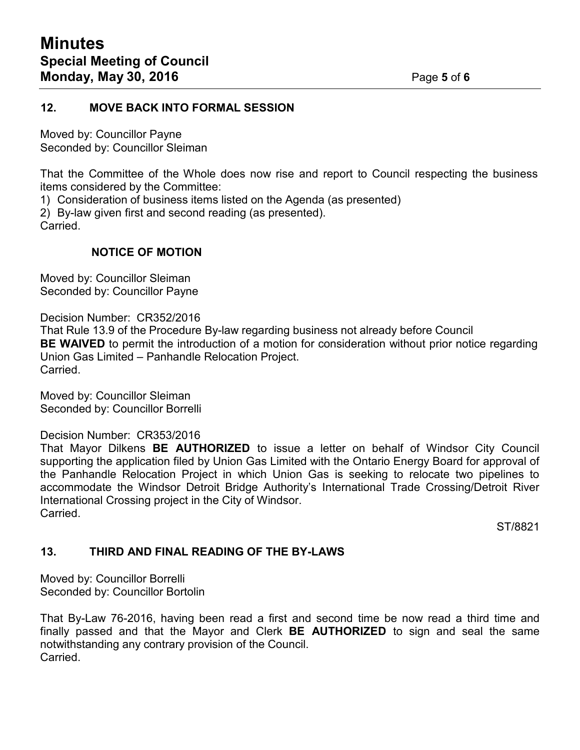#### **12. MOVE BACK INTO FORMAL SESSION**

Moved by: Councillor Payne Seconded by: Councillor Sleiman

That the Committee of the Whole does now rise and report to Council respecting the business items considered by the Committee:

1) Consideration of business items listed on the Agenda (as presented)

2) By-law given first and second reading (as presented).

Carried.

#### **NOTICE OF MOTION**

Moved by: Councillor Sleiman Seconded by: Councillor Payne

Decision Number: CR352/2016 That Rule 13.9 of the Procedure By-law regarding business not already before Council **BE WAIVED** to permit the introduction of a motion for consideration without prior notice regarding Union Gas Limited – Panhandle Relocation Project. Carried.

Moved by: Councillor Sleiman Seconded by: Councillor Borrelli

Decision Number: CR353/2016

That Mayor Dilkens **BE AUTHORIZED** to issue a letter on behalf of Windsor City Council supporting the application filed by Union Gas Limited with the Ontario Energy Board for approval of the Panhandle Relocation Project in which Union Gas is seeking to relocate two pipelines to accommodate the Windsor Detroit Bridge Authority's International Trade Crossing/Detroit River International Crossing project in the City of Windsor. Carried.

ST/8821

#### **13. THIRD AND FINAL READING OF THE BY-LAWS**

Moved by: Councillor Borrelli Seconded by: Councillor Bortolin

That By-Law 76-2016, having been read a first and second time be now read a third time and finally passed and that the Mayor and Clerk **BE AUTHORIZED** to sign and seal the same notwithstanding any contrary provision of the Council. Carried.